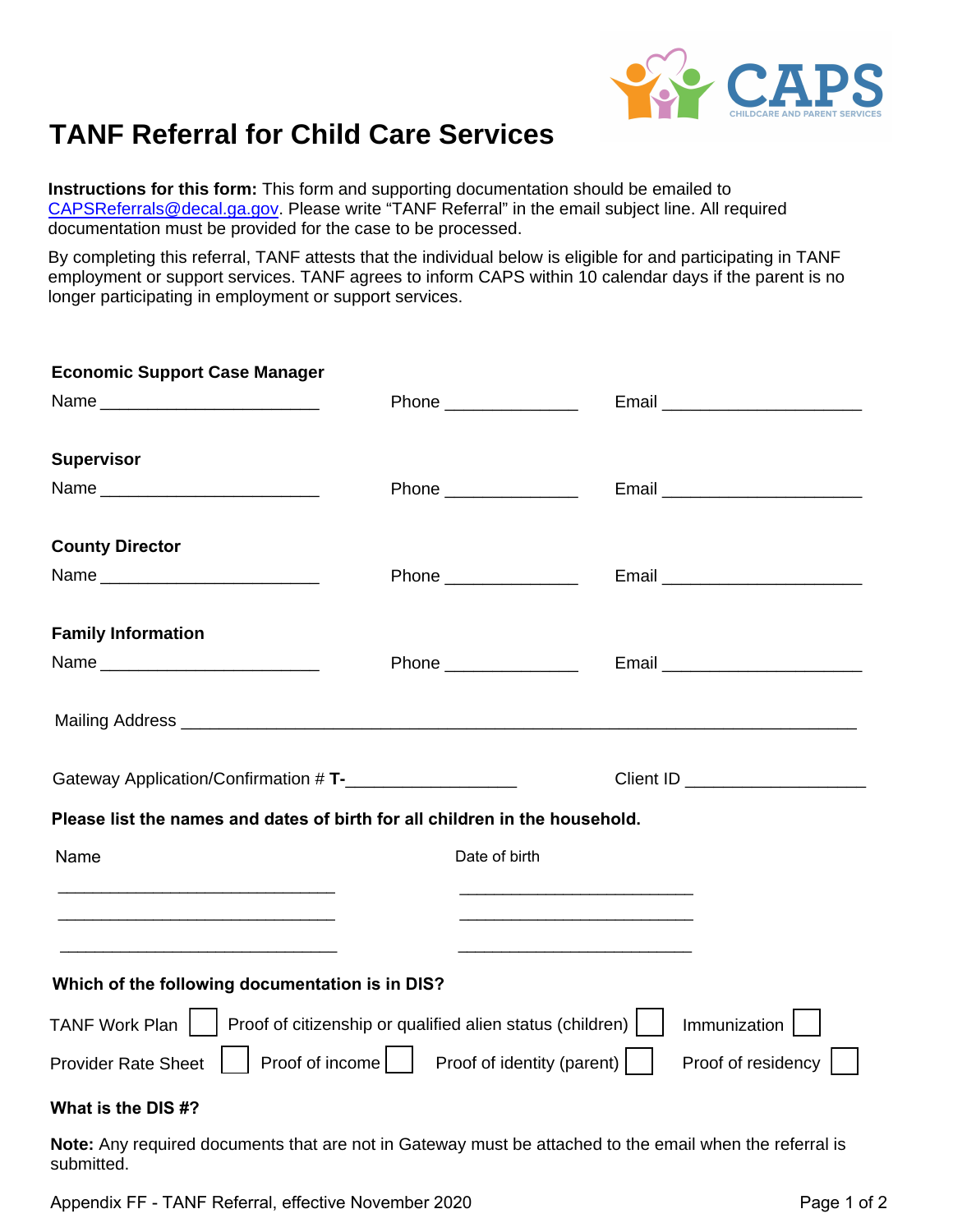

## **TANF Referral for Child Care Services**

**Instructions for this form:** This form and supporting documentation should be emailed to [CAPSReferrals@decal.ga.gov.](mailto:CAPSReferrals@decal.ga.gov) Please write "TANF Referral" in the email subject line. All required documentation must be provided for the case to be processed.

By completing this referral, TANF attests that the individual below is eligible for and participating in TANF employment or support services. TANF agrees to inform CAPS within 10 calendar days if the parent is no longer participating in employment or support services.

| <b>Economic Support Case Manager</b>                                         |                                                |                                                                                                                                                                                                                                      |  |
|------------------------------------------------------------------------------|------------------------------------------------|--------------------------------------------------------------------------------------------------------------------------------------------------------------------------------------------------------------------------------------|--|
|                                                                              | Phone ________________                         |                                                                                                                                                                                                                                      |  |
| <b>Supervisor</b>                                                            |                                                |                                                                                                                                                                                                                                      |  |
|                                                                              | Phone ________________                         |                                                                                                                                                                                                                                      |  |
| <b>County Director</b>                                                       |                                                |                                                                                                                                                                                                                                      |  |
|                                                                              | Phone ________________                         |                                                                                                                                                                                                                                      |  |
| <b>Family Information</b>                                                    |                                                |                                                                                                                                                                                                                                      |  |
|                                                                              | Phone _________________                        | Email ____________________________                                                                                                                                                                                                   |  |
|                                                                              |                                                | Mailing Address <b>Commission Contract Contract Contract Contract Contract Contract Contract Contract Contract Contract Contract Contract Contract Contract Contract Contract Contract Contract Contract Contract Contract Contr</b> |  |
| Gateway Application/Confirmation # T-_____________________                   |                                                |                                                                                                                                                                                                                                      |  |
| Please list the names and dates of birth for all children in the household.  |                                                |                                                                                                                                                                                                                                      |  |
| Name                                                                         | Date of birth                                  |                                                                                                                                                                                                                                      |  |
|                                                                              |                                                | <u> 1990 - Paris Alexandria, poeta estadounidense e a contineira de la contineira de la contineira de la contineir</u>                                                                                                               |  |
|                                                                              |                                                |                                                                                                                                                                                                                                      |  |
| Which of the following documentation is in DIS?                              |                                                |                                                                                                                                                                                                                                      |  |
| TANF Work Plan     Proof of citizenship or qualified alien status (children) |                                                | Immunization                                                                                                                                                                                                                         |  |
| <b>Provider Rate Sheet</b>                                                   | Proof of income     Proof of identity (parent) | Proof of residency                                                                                                                                                                                                                   |  |
| What is the DIS #?                                                           |                                                |                                                                                                                                                                                                                                      |  |

**Note:** Any required documents that are not in Gateway must be attached to the email when the referral is submitted.

Appendix FF - TANF Referral, effective November 2020 **Page 1** of 2